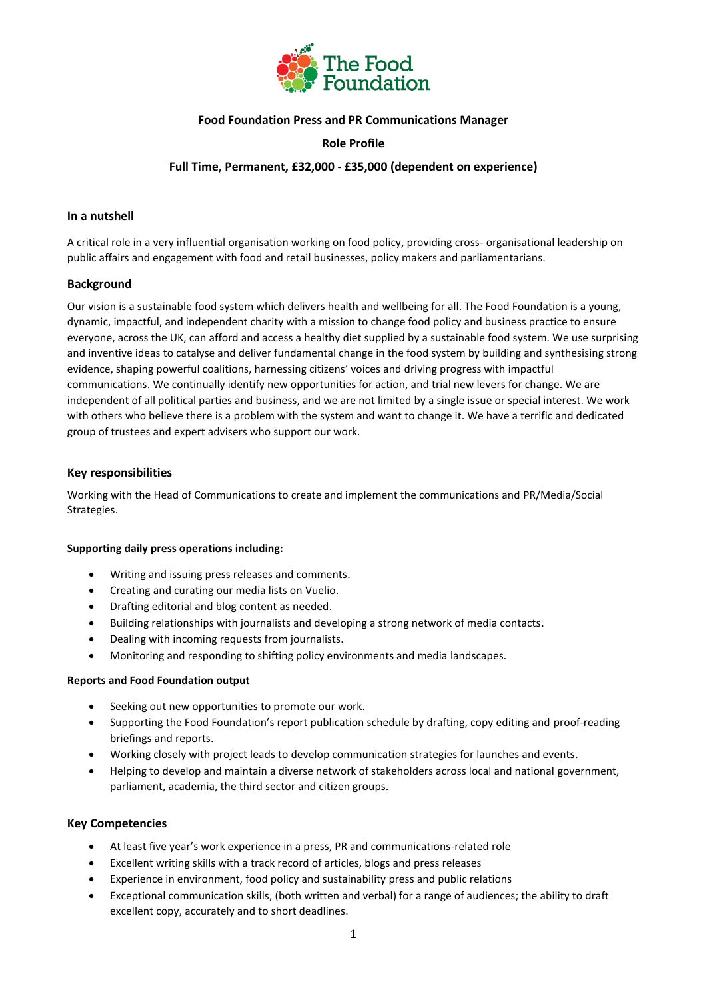

## **Food Foundation Press and PR Communications Manager**

## **Role Profile**

## **Full Time, Permanent, £32,000 - £35,000 (dependent on experience)**

#### **In a nutshell**

A critical role in a very influential organisation working on food policy, providing cross- organisational leadership on public affairs and engagement with food and retail businesses, policy makers and parliamentarians.

### **Background**

Our vision is a sustainable food system which delivers health and wellbeing for all. The Food Foundation is a young, dynamic, impactful, and independent charity with a mission to change food policy and business practice to ensure everyone, across the UK, can afford and access a healthy diet supplied by a sustainable food system. We use surprising and inventive ideas to catalyse and deliver fundamental change in the food system by building and synthesising strong evidence, shaping powerful coalitions, harnessing citizens' voices and driving progress with impactful communications. We continually identify new opportunities for action, and trial new levers for change. We are independent of all political parties and business, and we are not limited by a single issue or special interest. We work with others who believe there is a problem with the system and want to change it. We have a terrific and dedicated group of trustees and expert advisers who support our work.

### **Key responsibilities**

Working with the Head of Communications to create and implement the communications and PR/Media/Social Strategies.

#### **Supporting daily press operations including:**

- Writing and issuing press releases and comments.
- Creating and curating our media lists on Vuelio.
- Drafting editorial and blog content as needed.
- Building relationships with journalists and developing a strong network of media contacts.
- Dealing with incoming requests from journalists.
- Monitoring and responding to shifting policy environments and media landscapes.

#### **Reports and Food Foundation output**

- Seeking out new opportunities to promote our work.
- Supporting the Food Foundation's report publication schedule by drafting, copy editing and proof-reading briefings and reports.
- Working closely with project leads to develop communication strategies for launches and events.
- Helping to develop and maintain a diverse network of stakeholders across local and national government, parliament, academia, the third sector and citizen groups.

# **Key Competencies**

- At least five year's work experience in a press, PR and communications-related role
- Excellent writing skills with a track record of articles, blogs and press releases
- Experience in environment, food policy and sustainability press and public relations
- Exceptional communication skills, (both written and verbal) for a range of audiences; the ability to draft excellent copy, accurately and to short deadlines.